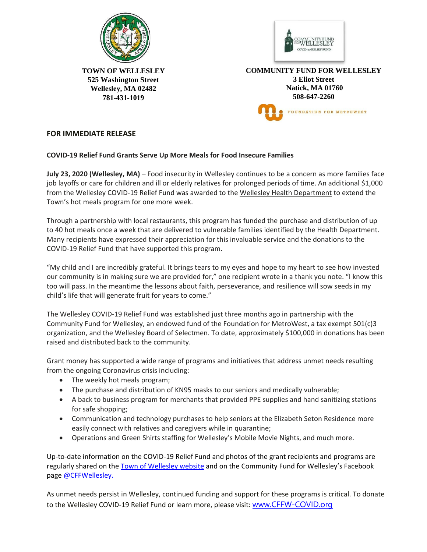



**TOWN OF WELLESLEY 525 Washington Street Wellesley, MA 02482 781-431-1019** 

**COMMUNITY FUND FOR WELLESLEY 3 Eliot Street Natick, MA 01760 508-647-2260** FOUNDATION FOR METROWEST

## **FOR IMMEDIATE RELEASE**

## **COVID-19 Relief Fund Grants Serve Up More Meals for Food Insecure Families**

**July 23, 2020 (Wellesley, MA)** – Food insecurity in Wellesley continues to be a concern as more families face job layoffs or care for children and ill or elderly relatives for prolonged periods of time. An additional \$1,000 from the Wellesley COVID-19 Relief Fund was awarded to the Wellesley Health Department to extend the Town's hot meals program for one more week.

Through a partnership with local restaurants, this program has funded the purchase and distribution of up to 40 hot meals once a week that are delivered to vulnerable families identified by the Health Department. Many recipients have expressed their appreciation for this invaluable service and the donations to the COVID-19 Relief Fund that have supported this program.

"My child and I are incredibly grateful. It brings tears to my eyes and hope to my heart to see how invested our community is in making sure we are provided for," one recipient wrote in a thank you note. "I know this too will pass. In the meantime the lessons about faith, perseverance, and resilience will sow seeds in my child's life that will generate fruit for years to come."

The Wellesley COVID-19 Relief Fund was established just three months ago in partnership with the Community Fund for Wellesley, an endowed fund of the Foundation for MetroWest, a tax exempt 501(c)3 organization, and the Wellesley Board of Selectmen. To date, approximately \$100,000 in donations has been raised and distributed back to the community.

Grant money has supported a wide range of programs and initiatives that address unmet needs resulting from the ongoing Coronavirus crisis including:

- The weekly hot meals program;
- The purchase and distribution of KN95 masks to our seniors and medically vulnerable;
- A back to business program for merchants that provided PPE supplies and hand sanitizing stations for safe shopping;
- Communication and technology purchases to help seniors at the Elizabeth Seton Residence more easily connect with relatives and caregivers while in quarantine;
- Operations and Green Shirts staffing for Wellesley's Mobile Movie Nights, and much more.

Up-to-date information on the COVID-19 Relief Fund and photos of the grant recipients and programs are regularly shared on the [Town of Wellesley website](http://www.wellesleyma.gov/) and on the Community Fund for Wellesley's Facebook page [@CFFWellesley.](https://www.facebook.com/CFFWellesley/) 

As unmet needs persist in Wellesley, continued funding and support for these programs is critical. To donate to the Wellesley COVID-19 Relief Fund or learn more, please visit: [www.CFFW-COVID.org](http://www.cffw-covid.org/)